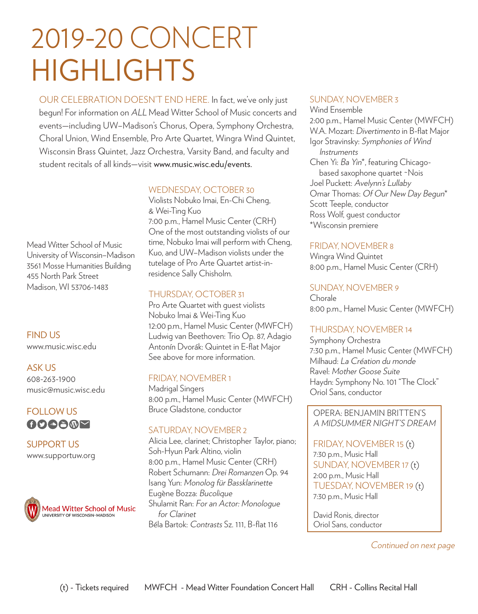# 2019-20 CONCERT HIGHLIGHTS

OUR CELEBRATION DOESN'T END HERE. In fact, we've only just begun! For information on ALL Mead Witter School of Music concerts and events—including UW–Madison's Chorus, Opera, Symphony Orchestra, Choral Union, Wind Ensemble, Pro Arte Quartet, Wingra Wind Quintet, Wisconsin Brass Quintet, Jazz Orchestra, Varsity Band, and faculty and student recitals of all kinds—visit www.music.wisc.edu/events.

Mead Witter School of Music University of Wisconsin–Madison 3561 Mosse Humanities Building 455 North Park Street Madison, WI 53706-1483

FIND US www.music.wisc.edu

ASK US 608-263-1900 music@music.wisc.edu

### FOLLOW US **OOOOMY**

SUPPORT US www.supportuw.org



#### WEDNESDAY, OCTOBER 30

Violists Nobuko Imai, En-Chi Cheng, & Wei-Ting Kuo 7:00 p.m., Hamel Music Center (CRH) One of the most outstanding violists of our time, Nobuko Imai will perform with Cheng, Kuo, and UW–Madison violists under the tutelage of Pro Arte Quartet artist-inresidence Sally Chisholm.

#### THURSDAY, OCTOBER 31

Pro Arte Quartet with guest violists Nobuko Imai & Wei-Ting Kuo 12:00 p.m., Hamel Music Center (MWFCH) Ludwig van Beethoven: Trio Op. 87, Adagio Antonín Dvorák: Quintet in E-flat Major See above for more information.

#### FRIDAY, NOVEMBER 1

Madrigal Singers 8:00 p.m., Hamel Music Center (MWFCH) Bruce Gladstone, conductor

#### SATURDAY, NOVEMBER 2

Alicia Lee, clarinet; Christopher Taylor, piano; Soh-Hyun Park Altino, violin 8:00 p.m., Hamel Music Center (CRH) Robert Schumann: Drei Romanzen Op. 94 Isang Yun: Monolog für Bassklarinette Eugène Bozza: Bucolique Shulamit Ran: For an Actor: Monologue for Clarinet Béla Bartok: Contrasts Sz. 111, B-flat 116

#### SUNDAY, NOVEMBER 3

Wind Ensemble 2:00 p.m., Hamel Music Center (MWFCH) W.A. Mozart: Divertimento in B-flat Major Igor Stravinsky: Symphonies of Wind Instruments

Chen Yi: Ba Yin\*, featuring Chicago based saxophone quartet ~Nois Joel Puckett: Avelynn's Lullaby Omar Thomas: Of Our New Day Begun\* Scott Teeple, conductor Ross Wolf, guest conductor \*Wisconsin premiere

#### FRIDAY, NOVEMBER 8

Wingra Wind Quintet 8:00 p.m., Hamel Music Center (CRH)

#### SUNDAY, NOVEMBER 9

Chorale 8:00 p.m., Hamel Music Center (MWFCH)

#### THURSDAY, NOVEMBER 14

Symphony Orchestra 7:30 p.m., Hamel Music Center (MWFCH) Milhaud: La Création du monde Ravel: Mother Goose Suite Haydn: Symphony No. 101 "The Clock" Oriol Sans, conductor

OPERA: BENJAMIN BRITTEN'S A MIDSUMMER NIGHT'S DREAM

FRIDAY, NOVEMBER 15 (t) 7:30 p.m., Music Hall SUNDAY, NOVEMBER 17 (t) 2:00 p.m., Music Hall TUESDAY, NOVEMBER 19 (t) 7:30 p.m., Music Hall

David Ronis, director Oriol Sans, conductor

Continued on next page